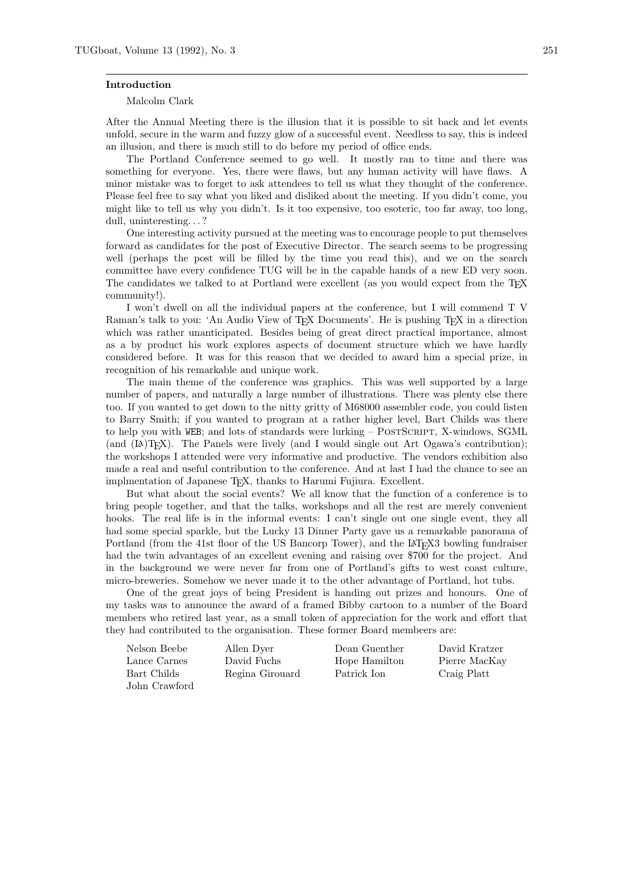## Introduction

## Malcolm Clark

After the Annual Meeting there is the illusion that it is possible to sit back and let events unfold, secure in the warm and fuzzy glow of a successful event. Needless to say, this is indeed an illusion, and there is much still to do before my period of office ends.

The Portland Conference seemed to go well. It mostly ran to time and there was something for everyone. Yes, there were flaws, but any human activity will have flaws. A minor mistake was to forget to ask attendees to tell us what they thought of the conference. Please feel free to say what you liked and disliked about the meeting. If you didn't come, you might like to tell us why you didn't. Is it too expensive, too esoteric, too far away, too long, dull, uninteresting. . . ?

One interesting activity pursued at the meeting was to encourage people to put themselves forward as candidates for the post of Executive Director. The search seems to be progressing well (perhaps the post will be filled by the time you read this), and we on the search committee have every confidence TUG will be in the capable hands of a new ED very soon. The candidates we talked to at Portland were excellent (as you would expect from the T<sub>EX</sub> community!).

I won't dwell on all the individual papers at the conference, but I will commend T V Raman's talk to you: 'An Audio View of TFX Documents'. He is pushing TFX in a direction which was rather unanticipated. Besides being of great direct practical importance, almost as a by product his work explores aspects of document structure which we have hardly considered before. It was for this reason that we decided to award him a special prize, in recognition of his remarkable and unique work.

The main theme of the conference was graphics. This was well supported by a large number of papers, and naturally a large number of illustrations. There was plenty else there too. If you wanted to get down to the nitty gritty of M68000 assembler code, you could listen to Barry Smith; if you wanted to program at a rather higher level, Bart Childs was there to help you with WEB; and lots of standards were lurking – POSTSCRIPT, X-windows, SGML (and  $[**A**)(T<sub>E</sub>**X**)$ . The Panels were lively (and I would single out Art Ogawa's contribution); the workshops I attended were very informative and productive. The vendors exhibition also made a real and useful contribution to the conference. And at last I had the chance to see an implmentation of Japanese TEX, thanks to Harumi Fujiura. Excellent.

But what about the social events? We all know that the function of a conference is to bring people together, and that the talks, workshops and all the rest are merely convenient hooks. The real life is in the informal events: I can't single out one single event, they all had some special sparkle, but the Lucky 13 Dinner Party gave us a remarkable panorama of Portland (from the 41st floor of the US Bancorp Tower), and the  $\mathbb{F}T_F X3$  bowling fundraiser had the twin advantages of an excellent evening and raising over \$700 for the project. And in the background we were never far from one of Portland's gifts to west coast culture, micro-breweries. Somehow we never made it to the other advantage of Portland, hot tubs.

One of the great joys of being President is handing out prizes and honours. One of my tasks was to announce the award of a framed Bibby cartoon to a number of the Board members who retired last year, as a small token of appreciation for the work and effort that they had contributed to the organisation. These former Board membeers are:

| Nelson Beebe  | Allen Dyer      | Dean Guenther | David Kratzer |
|---------------|-----------------|---------------|---------------|
| Lance Carnes  | David Fuchs     | Hope Hamilton | Pierre MacKay |
| Bart Childs   | Regina Girouard | Patrick Ion   | Craig Platt   |
| John Crawford |                 |               |               |